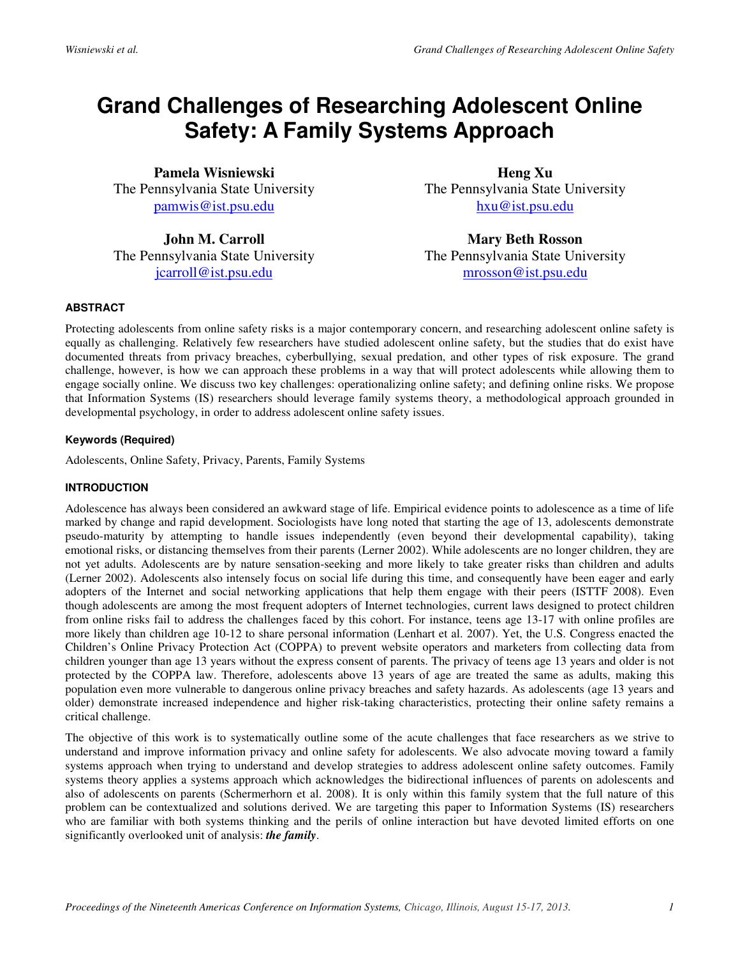# **Grand Challenges of Researching Adolescent Online Safety: A Family Systems Approach**

**Pamela Wisniewski**  The Pennsylvania State University pamwis@ist.psu.edu

**John M. Carroll**  The Pennsylvania State University jcarroll@ist.psu.edu

**Heng Xu**  The Pennsylvania State University hxu@ist.psu.edu

**Mary Beth Rosson**  The Pennsylvania State University mrosson@ist.psu.edu

### **ABSTRACT**

Protecting adolescents from online safety risks is a major contemporary concern, and researching adolescent online safety is equally as challenging. Relatively few researchers have studied adolescent online safety, but the studies that do exist have documented threats from privacy breaches, cyberbullying, sexual predation, and other types of risk exposure. The grand challenge, however, is how we can approach these problems in a way that will protect adolescents while allowing them to engage socially online. We discuss two key challenges: operationalizing online safety; and defining online risks. We propose that Information Systems (IS) researchers should leverage family systems theory, a methodological approach grounded in developmental psychology, in order to address adolescent online safety issues.

## **Keywords (Required)**

Adolescents, Online Safety, Privacy, Parents, Family Systems

### **INTRODUCTION**

Adolescence has always been considered an awkward stage of life. Empirical evidence points to adolescence as a time of life marked by change and rapid development. Sociologists have long noted that starting the age of 13, adolescents demonstrate pseudo-maturity by attempting to handle issues independently (even beyond their developmental capability), taking emotional risks, or distancing themselves from their parents (Lerner 2002). While adolescents are no longer children, they are not yet adults. Adolescents are by nature sensation-seeking and more likely to take greater risks than children and adults (Lerner 2002). Adolescents also intensely focus on social life during this time, and consequently have been eager and early adopters of the Internet and social networking applications that help them engage with their peers (ISTTF 2008). Even though adolescents are among the most frequent adopters of Internet technologies, current laws designed to protect children from online risks fail to address the challenges faced by this cohort. For instance, teens age 13-17 with online profiles are more likely than children age 10-12 to share personal information (Lenhart et al. 2007). Yet, the U.S. Congress enacted the Children's Online Privacy Protection Act (COPPA) to prevent website operators and marketers from collecting data from children younger than age 13 years without the express consent of parents. The privacy of teens age 13 years and older is not protected by the COPPA law. Therefore, adolescents above 13 years of age are treated the same as adults, making this population even more vulnerable to dangerous online privacy breaches and safety hazards. As adolescents (age 13 years and older) demonstrate increased independence and higher risk-taking characteristics, protecting their online safety remains a critical challenge.

The objective of this work is to systematically outline some of the acute challenges that face researchers as we strive to understand and improve information privacy and online safety for adolescents. We also advocate moving toward a family systems approach when trying to understand and develop strategies to address adolescent online safety outcomes. Family systems theory applies a systems approach which acknowledges the bidirectional influences of parents on adolescents and also of adolescents on parents (Schermerhorn et al. 2008). It is only within this family system that the full nature of this problem can be contextualized and solutions derived. We are targeting this paper to Information Systems (IS) researchers who are familiar with both systems thinking and the perils of online interaction but have devoted limited efforts on one significantly overlooked unit of analysis: *the family*.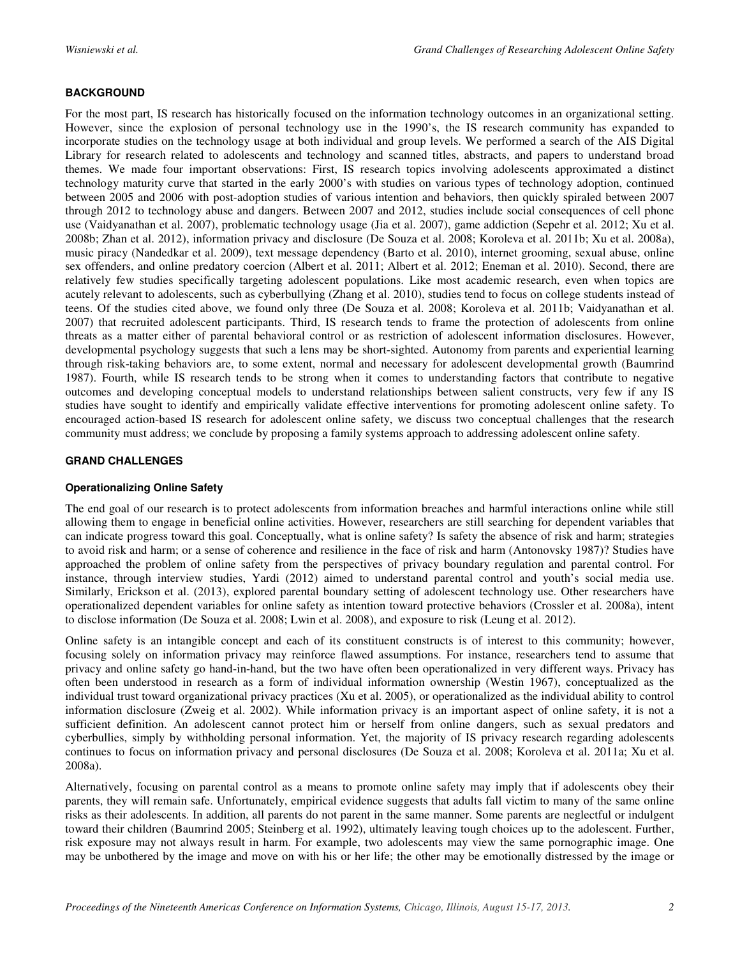## **BACKGROUND**

For the most part, IS research has historically focused on the information technology outcomes in an organizational setting. However, since the explosion of personal technology use in the 1990's, the IS research community has expanded to incorporate studies on the technology usage at both individual and group levels. We performed a search of the AIS Digital Library for research related to adolescents and technology and scanned titles, abstracts, and papers to understand broad themes. We made four important observations: First, IS research topics involving adolescents approximated a distinct technology maturity curve that started in the early 2000's with studies on various types of technology adoption, continued between 2005 and 2006 with post-adoption studies of various intention and behaviors, then quickly spiraled between 2007 through 2012 to technology abuse and dangers. Between 2007 and 2012, studies include social consequences of cell phone use (Vaidyanathan et al. 2007), problematic technology usage (Jia et al. 2007), game addiction (Sepehr et al. 2012; Xu et al. 2008b; Zhan et al. 2012), information privacy and disclosure (De Souza et al. 2008; Koroleva et al. 2011b; Xu et al. 2008a), music piracy (Nandedkar et al. 2009), text message dependency (Barto et al. 2010), internet grooming, sexual abuse, online sex offenders, and online predatory coercion (Albert et al. 2011; Albert et al. 2012; Eneman et al. 2010). Second, there are relatively few studies specifically targeting adolescent populations. Like most academic research, even when topics are acutely relevant to adolescents, such as cyberbullying (Zhang et al. 2010), studies tend to focus on college students instead of teens. Of the studies cited above, we found only three (De Souza et al. 2008; Koroleva et al. 2011b; Vaidyanathan et al. 2007) that recruited adolescent participants. Third, IS research tends to frame the protection of adolescents from online threats as a matter either of parental behavioral control or as restriction of adolescent information disclosures. However, developmental psychology suggests that such a lens may be short-sighted. Autonomy from parents and experiential learning through risk-taking behaviors are, to some extent, normal and necessary for adolescent developmental growth (Baumrind 1987). Fourth, while IS research tends to be strong when it comes to understanding factors that contribute to negative outcomes and developing conceptual models to understand relationships between salient constructs, very few if any IS studies have sought to identify and empirically validate effective interventions for promoting adolescent online safety. To encouraged action-based IS research for adolescent online safety, we discuss two conceptual challenges that the research community must address; we conclude by proposing a family systems approach to addressing adolescent online safety.

## **GRAND CHALLENGES**

## **Operationalizing Online Safety**

The end goal of our research is to protect adolescents from information breaches and harmful interactions online while still allowing them to engage in beneficial online activities. However, researchers are still searching for dependent variables that can indicate progress toward this goal. Conceptually, what is online safety? Is safety the absence of risk and harm; strategies to avoid risk and harm; or a sense of coherence and resilience in the face of risk and harm (Antonovsky 1987)? Studies have approached the problem of online safety from the perspectives of privacy boundary regulation and parental control. For instance, through interview studies, Yardi (2012) aimed to understand parental control and youth's social media use. Similarly, Erickson et al. (2013), explored parental boundary setting of adolescent technology use. Other researchers have operationalized dependent variables for online safety as intention toward protective behaviors (Crossler et al. 2008a), intent to disclose information (De Souza et al. 2008; Lwin et al. 2008), and exposure to risk (Leung et al. 2012).

Online safety is an intangible concept and each of its constituent constructs is of interest to this community; however, focusing solely on information privacy may reinforce flawed assumptions. For instance, researchers tend to assume that privacy and online safety go hand-in-hand, but the two have often been operationalized in very different ways. Privacy has often been understood in research as a form of individual information ownership (Westin 1967), conceptualized as the individual trust toward organizational privacy practices (Xu et al. 2005), or operationalized as the individual ability to control information disclosure (Zweig et al. 2002). While information privacy is an important aspect of online safety, it is not a sufficient definition. An adolescent cannot protect him or herself from online dangers, such as sexual predators and cyberbullies, simply by withholding personal information. Yet, the majority of IS privacy research regarding adolescents continues to focus on information privacy and personal disclosures (De Souza et al. 2008; Koroleva et al. 2011a; Xu et al. 2008a).

Alternatively, focusing on parental control as a means to promote online safety may imply that if adolescents obey their parents, they will remain safe. Unfortunately, empirical evidence suggests that adults fall victim to many of the same online risks as their adolescents. In addition, all parents do not parent in the same manner. Some parents are neglectful or indulgent toward their children (Baumrind 2005; Steinberg et al. 1992), ultimately leaving tough choices up to the adolescent. Further, risk exposure may not always result in harm. For example, two adolescents may view the same pornographic image. One may be unbothered by the image and move on with his or her life; the other may be emotionally distressed by the image or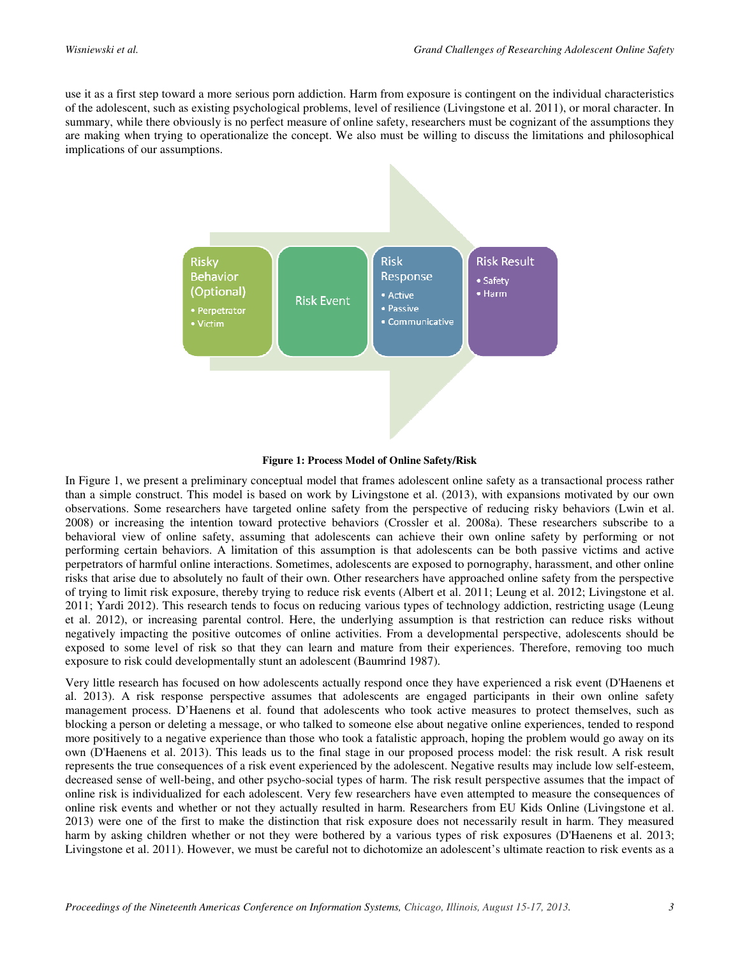use it as a first step toward a more serious porn addiction. Harm from exposure is contingent on the individual characteristics of the adolescent, such as existing psychological problems, level of resilience (Livingstone et al. 2011), or moral character. In summary, while there obviously is no perfect measure of online safety, researchers must be cognizant of the assumptions they are making when trying to operationalize the concept. We also must be willing to discuss the limitations and philosophical implications of our assumptions.



#### **Figure 1: Process Model of Online Safety/Risk**

In Figure 1, we present a preliminary conceptual model that frames adolescent online safety as a transactional process rather than a simple construct. This model is based on work by Livingstone et al. (2013), with expansions motivated by our own observations. Some researchers have targeted online safety from the perspective of reducing risky behaviors (Lwin et al. 2008) or increasing the intention toward protective behaviors (Crossler et al. 2008a). These researchers subscribe to a behavioral view of online safety, assuming that adolescents can achieve their own online safety by performing or not performing certain behaviors. A limitation of this assumption is that adolescents can be both passive victims and active perpetrators of harmful online interactions. Sometimes, adolescents are exposed to pornography, harassment, and other online risks that arise due to absolutely no fault of their own. Other researchers have approached online safety from the perspective of trying to limit risk exposure, thereby trying to reduce risk events (Albert et al. 2011; Leung et al. 2012; Livingstone et al. 2011; Yardi 2012). This research tends to focus on reducing various types of technology addiction, restricting usage (Leung et al. 2012), or increasing parental control. Here, the underlying assumption is that restriction can reduce risks without negatively impacting the positive outcomes of online activities. From a developmental perspective, adolescents should be exposed to some level of risk so that they can learn and mature from their experiences. Therefore, removing too much exposure to risk could developmentally stunt an adolescent (Baumrind 1987).

Very little research has focused on how adolescents actually respond once they have experienced a risk event (D'Haenens et al. 2013). A risk response perspective assumes that adolescents are engaged participants in their own online safety management process. D'Haenens et al. found that adolescents who took active measures to protect themselves, such as blocking a person or deleting a message, or who talked to someone else about negative online experiences, tended to respond more positively to a negative experience than those who took a fatalistic approach, hoping the problem would go away on its own (D'Haenens et al. 2013). This leads us to the final stage in our proposed process model: the risk result. A risk result represents the true consequences of a risk event experienced by the adolescent. Negative results may include low self-esteem, decreased sense of well-being, and other psycho-social types of harm. The risk result perspective assumes that the impact of online risk is individualized for each adolescent. Very few researchers have even attempted to measure the consequences of online risk events and whether or not they actually resulted in harm. Researchers from EU Kids Online (Livingstone et al. 2013) were one of the first to make the distinction that risk exposure does not necessarily result in harm. They measured harm by asking children whether or not they were bothered by a various types of risk exposures (D'Haenens et al. 2013; Livingstone et al. 2011). However, we must be careful not to dichotomize an adolescent's ultimate reaction to risk events as a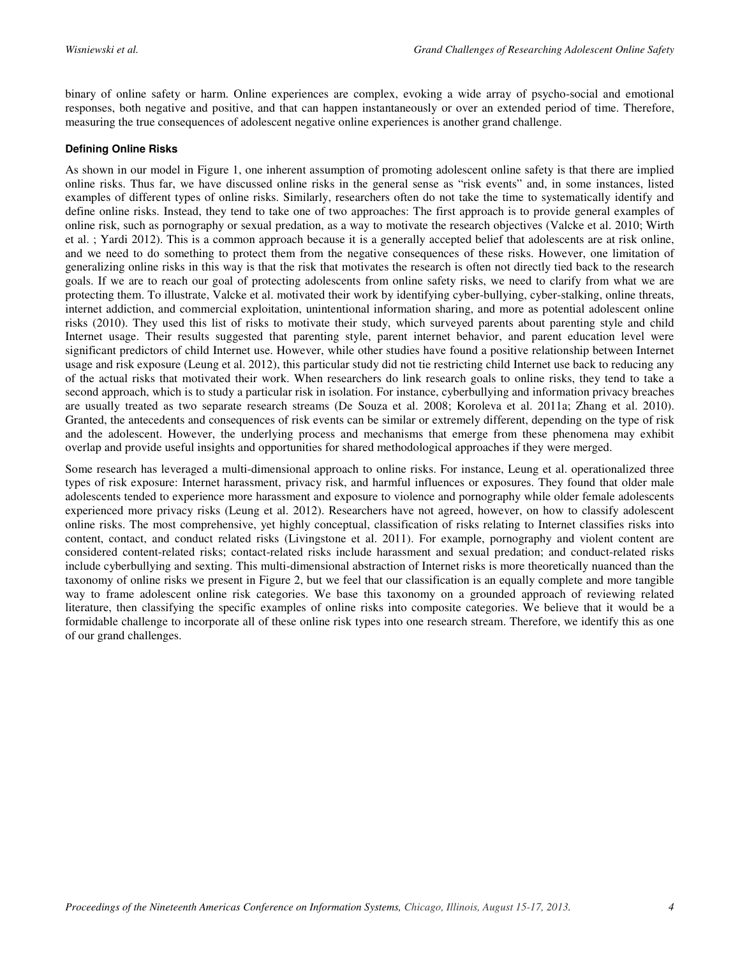binary of online safety or harm. Online experiences are complex, evoking a wide array of psycho-social and emotional responses, both negative and positive, and that can happen instantaneously or over an extended period of time. Therefore, measuring the true consequences of adolescent negative online experiences is another grand challenge.

## **Defining Online Risks**

As shown in our model in Figure 1, one inherent assumption of promoting adolescent online safety is that there are implied online risks. Thus far, we have discussed online risks in the general sense as "risk events" and, in some instances, listed examples of different types of online risks. Similarly, researchers often do not take the time to systematically identify and define online risks. Instead, they tend to take one of two approaches: The first approach is to provide general examples of online risk, such as pornography or sexual predation, as a way to motivate the research objectives (Valcke et al. 2010; Wirth et al. ; Yardi 2012). This is a common approach because it is a generally accepted belief that adolescents are at risk online, and we need to do something to protect them from the negative consequences of these risks. However, one limitation of generalizing online risks in this way is that the risk that motivates the research is often not directly tied back to the research goals. If we are to reach our goal of protecting adolescents from online safety risks, we need to clarify from what we are protecting them. To illustrate, Valcke et al. motivated their work by identifying cyber-bullying, cyber-stalking, online threats, internet addiction, and commercial exploitation, unintentional information sharing, and more as potential adolescent online risks (2010). They used this list of risks to motivate their study, which surveyed parents about parenting style and child Internet usage. Their results suggested that parenting style, parent internet behavior, and parent education level were significant predictors of child Internet use. However, while other studies have found a positive relationship between Internet usage and risk exposure (Leung et al. 2012), this particular study did not tie restricting child Internet use back to reducing any of the actual risks that motivated their work. When researchers do link research goals to online risks, they tend to take a second approach, which is to study a particular risk in isolation. For instance, cyberbullying and information privacy breaches are usually treated as two separate research streams (De Souza et al. 2008; Koroleva et al. 2011a; Zhang et al. 2010). Granted, the antecedents and consequences of risk events can be similar or extremely different, depending on the type of risk and the adolescent. However, the underlying process and mechanisms that emerge from these phenomena may exhibit overlap and provide useful insights and opportunities for shared methodological approaches if they were merged.

Some research has leveraged a multi-dimensional approach to online risks. For instance, Leung et al. operationalized three types of risk exposure: Internet harassment, privacy risk, and harmful influences or exposures. They found that older male adolescents tended to experience more harassment and exposure to violence and pornography while older female adolescents experienced more privacy risks (Leung et al. 2012). Researchers have not agreed, however, on how to classify adolescent online risks. The most comprehensive, yet highly conceptual, classification of risks relating to Internet classifies risks into content, contact, and conduct related risks (Livingstone et al. 2011). For example, pornography and violent content are considered content-related risks; contact-related risks include harassment and sexual predation; and conduct-related risks include cyberbullying and sexting. This multi-dimensional abstraction of Internet risks is more theoretically nuanced than the taxonomy of online risks we present in Figure 2, but we feel that our classification is an equally complete and more tangible way to frame adolescent online risk categories. We base this taxonomy on a grounded approach of reviewing related literature, then classifying the specific examples of online risks into composite categories. We believe that it would be a formidable challenge to incorporate all of these online risk types into one research stream. Therefore, we identify this as one of our grand challenges.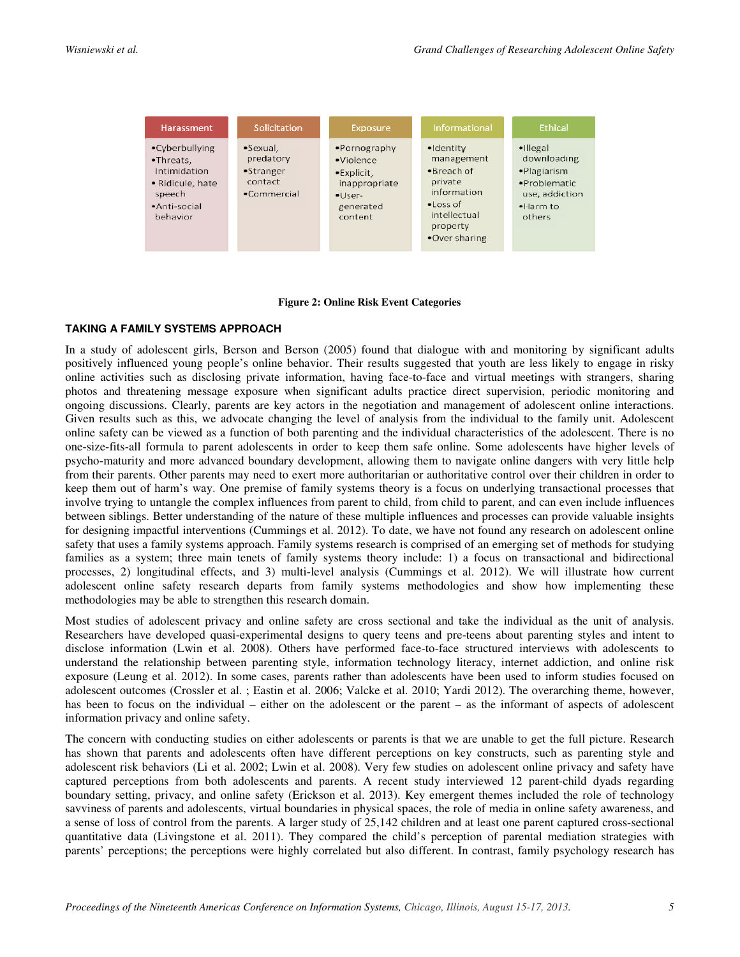| <b>Harassment</b>                                                                                     | Solicitation                                                          | Exposure                                                                                                              | Informational                                                                                                                               | <b>Fthical</b>                                                                                             |
|-------------------------------------------------------------------------------------------------------|-----------------------------------------------------------------------|-----------------------------------------------------------------------------------------------------------------------|---------------------------------------------------------------------------------------------------------------------------------------------|------------------------------------------------------------------------------------------------------------|
| •Cyberbullying<br>•Threats,<br>Intimidation<br>• Ridicule, hate<br>speech<br>•Anti-social<br>behavior | $\bullet$ Sexual.<br>predatory<br>•Stranger<br>contact<br>·Commercial | $\bullet$ Pornography<br>·Violence<br>$\bullet$ Explicit,<br>inappropriate<br>$\bullet$ User-<br>generated<br>content | •Identity<br>management<br>$\bullet$ Breach of<br>private<br>information<br>$\epsilon$ Loss of<br>intellectual<br>property<br>•Over sharing | $\bullet$ Illegal<br>downloading<br>·Plagiarism<br>·Problematic<br>use, addiction<br>$-$ Harm to<br>others |

#### **Figure 2: Online Risk Event Categories**

#### **TAKING A FAMILY SYSTEMS APPROACH**

In a study of adolescent girls, Berson and Berson (2005) found that dialogue with and monitoring by significant adults positively influenced young people's online behavior. Their results suggested that youth are less likely to engage in risky online activities such as disclosing private information, having face-to-face and virtual meetings with strangers, sharing photos and threatening message exposure when significant adults practice direct supervision, periodic monitoring and ongoing discussions. Clearly, parents are key actors in the negotiation and management of adolescent online interactions. Given results such as this, we advocate changing the level of analysis from the individual to the family unit. Adolescent online safety can be viewed as a function of both parenting and the individual characteristics of the adolescent. There is no one-size-fits-all formula to parent adolescents in order to keep them safe online. Some adolescents have higher levels of psycho-maturity and more advanced boundary development, allowing them to navigate online dangers with very little help from their parents. Other parents may need to exert more authoritarian or authoritative control over their children in order to keep them out of harm's way. One premise of family systems theory is a focus on underlying transactional processes that involve trying to untangle the complex influences from parent to child, from child to parent, and can even include influences between siblings. Better understanding of the nature of these multiple influences and processes can provide valuable insights for designing impactful interventions (Cummings et al. 2012). To date, we have not found any research on adolescent online safety that uses a family systems approach. Family systems research is comprised of an emerging set of methods for studying families as a system; three main tenets of family systems theory include: 1) a focus on transactional and bidirectional processes, 2) longitudinal effects, and 3) multi-level analysis (Cummings et al. 2012). We will illustrate how current adolescent online safety research departs from family systems methodologies and show how implementing these methodologies may be able to strengthen this research domain.

Most studies of adolescent privacy and online safety are cross sectional and take the individual as the unit of analysis. Researchers have developed quasi-experimental designs to query teens and pre-teens about parenting styles and intent to disclose information (Lwin et al. 2008). Others have performed face-to-face structured interviews with adolescents to understand the relationship between parenting style, information technology literacy, internet addiction, and online risk exposure (Leung et al. 2012). In some cases, parents rather than adolescents have been used to inform studies focused on adolescent outcomes (Crossler et al. ; Eastin et al. 2006; Valcke et al. 2010; Yardi 2012). The overarching theme, however, has been to focus on the individual – either on the adolescent or the parent – as the informant of aspects of adolescent information privacy and online safety.

The concern with conducting studies on either adolescents or parents is that we are unable to get the full picture. Research has shown that parents and adolescents often have different perceptions on key constructs, such as parenting style and adolescent risk behaviors (Li et al. 2002; Lwin et al. 2008). Very few studies on adolescent online privacy and safety have captured perceptions from both adolescents and parents. A recent study interviewed 12 parent-child dyads regarding boundary setting, privacy, and online safety (Erickson et al. 2013). Key emergent themes included the role of technology savviness of parents and adolescents, virtual boundaries in physical spaces, the role of media in online safety awareness, and a sense of loss of control from the parents. A larger study of 25,142 children and at least one parent captured cross-sectional quantitative data (Livingstone et al. 2011). They compared the child's perception of parental mediation strategies with parents' perceptions; the perceptions were highly correlated but also different. In contrast, family psychology research has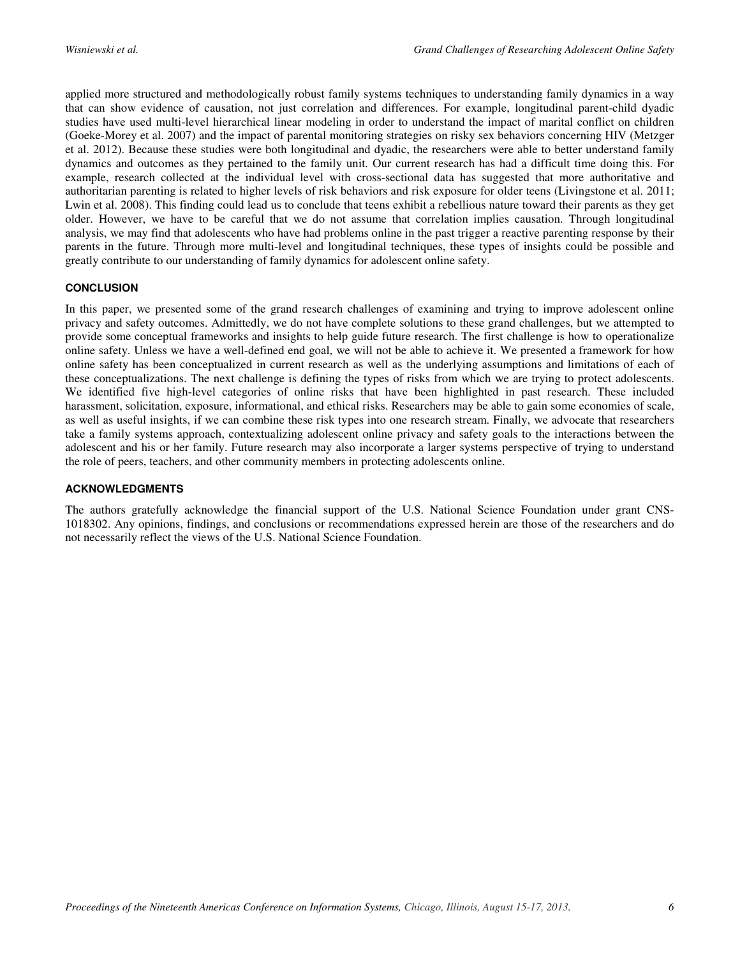applied more structured and methodologically robust family systems techniques to understanding family dynamics in a way that can show evidence of causation, not just correlation and differences. For example, longitudinal parent-child dyadic studies have used multi-level hierarchical linear modeling in order to understand the impact of marital conflict on children (Goeke-Morey et al. 2007) and the impact of parental monitoring strategies on risky sex behaviors concerning HIV (Metzger et al. 2012). Because these studies were both longitudinal and dyadic, the researchers were able to better understand family dynamics and outcomes as they pertained to the family unit. Our current research has had a difficult time doing this. For example, research collected at the individual level with cross-sectional data has suggested that more authoritative and authoritarian parenting is related to higher levels of risk behaviors and risk exposure for older teens (Livingstone et al. 2011; Lwin et al. 2008). This finding could lead us to conclude that teens exhibit a rebellious nature toward their parents as they get older. However, we have to be careful that we do not assume that correlation implies causation. Through longitudinal analysis, we may find that adolescents who have had problems online in the past trigger a reactive parenting response by their parents in the future. Through more multi-level and longitudinal techniques, these types of insights could be possible and greatly contribute to our understanding of family dynamics for adolescent online safety.

## **CONCLUSION**

In this paper, we presented some of the grand research challenges of examining and trying to improve adolescent online privacy and safety outcomes. Admittedly, we do not have complete solutions to these grand challenges, but we attempted to provide some conceptual frameworks and insights to help guide future research. The first challenge is how to operationalize online safety. Unless we have a well-defined end goal, we will not be able to achieve it. We presented a framework for how online safety has been conceptualized in current research as well as the underlying assumptions and limitations of each of these conceptualizations. The next challenge is defining the types of risks from which we are trying to protect adolescents. We identified five high-level categories of online risks that have been highlighted in past research. These included harassment, solicitation, exposure, informational, and ethical risks. Researchers may be able to gain some economies of scale, as well as useful insights, if we can combine these risk types into one research stream. Finally, we advocate that researchers take a family systems approach, contextualizing adolescent online privacy and safety goals to the interactions between the adolescent and his or her family. Future research may also incorporate a larger systems perspective of trying to understand the role of peers, teachers, and other community members in protecting adolescents online.

## **ACKNOWLEDGMENTS**

The authors gratefully acknowledge the financial support of the U.S. National Science Foundation under grant CNS-1018302. Any opinions, findings, and conclusions or recommendations expressed herein are those of the researchers and do not necessarily reflect the views of the U.S. National Science Foundation.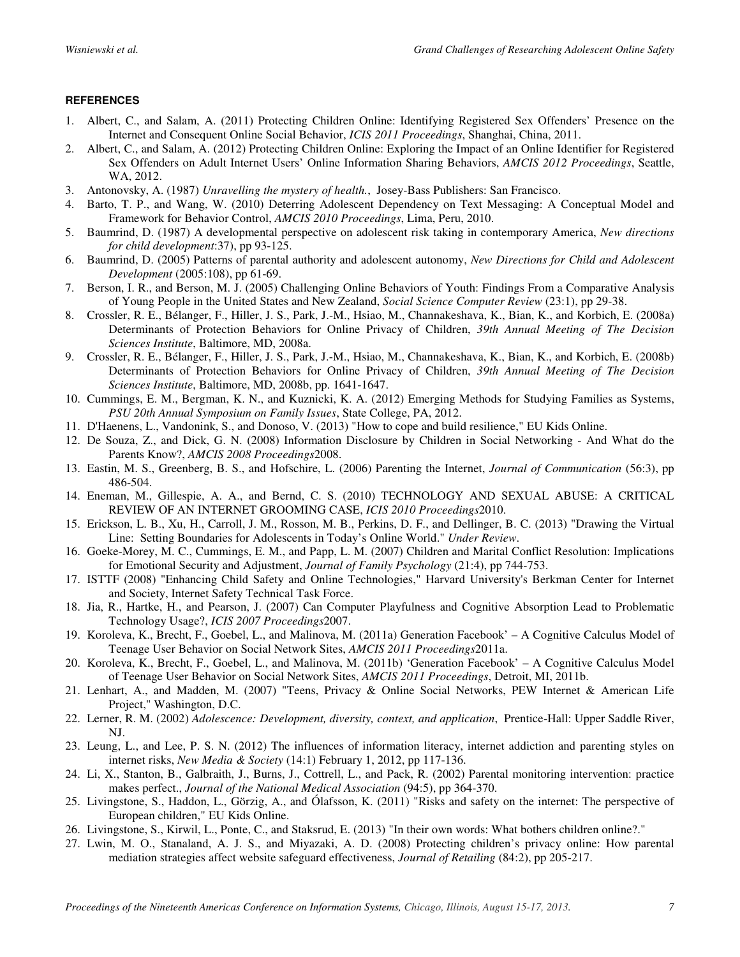## **REFERENCES**

- 1. Albert, C., and Salam, A. (2011) Protecting Children Online: Identifying Registered Sex Offenders' Presence on the Internet and Consequent Online Social Behavior, *ICIS 2011 Proceedings*, Shanghai, China, 2011.
- 2. Albert, C., and Salam, A. (2012) Protecting Children Online: Exploring the Impact of an Online Identifier for Registered Sex Offenders on Adult Internet Users' Online Information Sharing Behaviors, *AMCIS 2012 Proceedings*, Seattle, WA, 2012.
- 3. Antonovsky, A. (1987) *Unravelling the mystery of health.*, Josey-Bass Publishers: San Francisco.
- 4. Barto, T. P., and Wang, W. (2010) Deterring Adolescent Dependency on Text Messaging: A Conceptual Model and Framework for Behavior Control, *AMCIS 2010 Proceedings*, Lima, Peru, 2010.
- 5. Baumrind, D. (1987) A developmental perspective on adolescent risk taking in contemporary America, *New directions for child development*:37), pp 93-125.
- 6. Baumrind, D. (2005) Patterns of parental authority and adolescent autonomy, *New Directions for Child and Adolescent Development* (2005:108), pp 61-69.
- 7. Berson, I. R., and Berson, M. J. (2005) Challenging Online Behaviors of Youth: Findings From a Comparative Analysis of Young People in the United States and New Zealand, *Social Science Computer Review* (23:1), pp 29-38.
- 8. Crossler, R. E., Bélanger, F., Hiller, J. S., Park, J.-M., Hsiao, M., Channakeshava, K., Bian, K., and Korbich, E. (2008a) Determinants of Protection Behaviors for Online Privacy of Children, *39th Annual Meeting of The Decision Sciences Institute*, Baltimore, MD, 2008a.
- 9. Crossler, R. E., Bélanger, F., Hiller, J. S., Park, J.-M., Hsiao, M., Channakeshava, K., Bian, K., and Korbich, E. (2008b) Determinants of Protection Behaviors for Online Privacy of Children, *39th Annual Meeting of The Decision Sciences Institute*, Baltimore, MD, 2008b, pp. 1641-1647.
- 10. Cummings, E. M., Bergman, K. N., and Kuznicki, K. A. (2012) Emerging Methods for Studying Families as Systems, *PSU 20th Annual Symposium on Family Issues*, State College, PA, 2012.
- 11. D'Haenens, L., Vandonink, S., and Donoso, V. (2013) "How to cope and build resilience," EU Kids Online.
- 12. De Souza, Z., and Dick, G. N. (2008) Information Disclosure by Children in Social Networking And What do the Parents Know?, *AMCIS 2008 Proceedings*2008.
- 13. Eastin, M. S., Greenberg, B. S., and Hofschire, L. (2006) Parenting the Internet, *Journal of Communication* (56:3), pp 486-504.
- 14. Eneman, M., Gillespie, A. A., and Bernd, C. S. (2010) TECHNOLOGY AND SEXUAL ABUSE: A CRITICAL REVIEW OF AN INTERNET GROOMING CASE, *ICIS 2010 Proceedings*2010.
- 15. Erickson, L. B., Xu, H., Carroll, J. M., Rosson, M. B., Perkins, D. F., and Dellinger, B. C. (2013) "Drawing the Virtual Line: Setting Boundaries for Adolescents in Today's Online World." *Under Review*.
- 16. Goeke-Morey, M. C., Cummings, E. M., and Papp, L. M. (2007) Children and Marital Conflict Resolution: Implications for Emotional Security and Adjustment, *Journal of Family Psychology* (21:4), pp 744-753.
- 17. ISTTF (2008) "Enhancing Child Safety and Online Technologies," Harvard University's Berkman Center for Internet and Society, Internet Safety Technical Task Force.
- 18. Jia, R., Hartke, H., and Pearson, J. (2007) Can Computer Playfulness and Cognitive Absorption Lead to Problematic Technology Usage?, *ICIS 2007 Proceedings*2007.
- 19. Koroleva, K., Brecht, F., Goebel, L., and Malinova, M. (2011a) Generation Facebook' A Cognitive Calculus Model of Teenage User Behavior on Social Network Sites, *AMCIS 2011 Proceedings*2011a.
- 20. Koroleva, K., Brecht, F., Goebel, L., and Malinova, M. (2011b) 'Generation Facebook' A Cognitive Calculus Model of Teenage User Behavior on Social Network Sites, *AMCIS 2011 Proceedings*, Detroit, MI, 2011b.
- 21. Lenhart, A., and Madden, M. (2007) "Teens, Privacy & Online Social Networks, PEW Internet & American Life Project," Washington, D.C.
- 22. Lerner, R. M. (2002) *Adolescence: Development, diversity, context, and application*, Prentice-Hall: Upper Saddle River, NJ.
- 23. Leung, L., and Lee, P. S. N. (2012) The influences of information literacy, internet addiction and parenting styles on internet risks, *New Media & Society* (14:1) February 1, 2012, pp 117-136.
- 24. Li, X., Stanton, B., Galbraith, J., Burns, J., Cottrell, L., and Pack, R. (2002) Parental monitoring intervention: practice makes perfect., *Journal of the National Medical Association* (94:5), pp 364-370.
- 25. Livingstone, S., Haddon, L., Görzig, A., and Ólafsson, K. (2011) "Risks and safety on the internet: The perspective of European children," EU Kids Online.
- 26. Livingstone, S., Kirwil, L., Ponte, C., and Staksrud, E. (2013) "In their own words: What bothers children online?."
- 27. Lwin, M. O., Stanaland, A. J. S., and Miyazaki, A. D. (2008) Protecting children's privacy online: How parental mediation strategies affect website safeguard effectiveness, *Journal of Retailing* (84:2), pp 205-217.